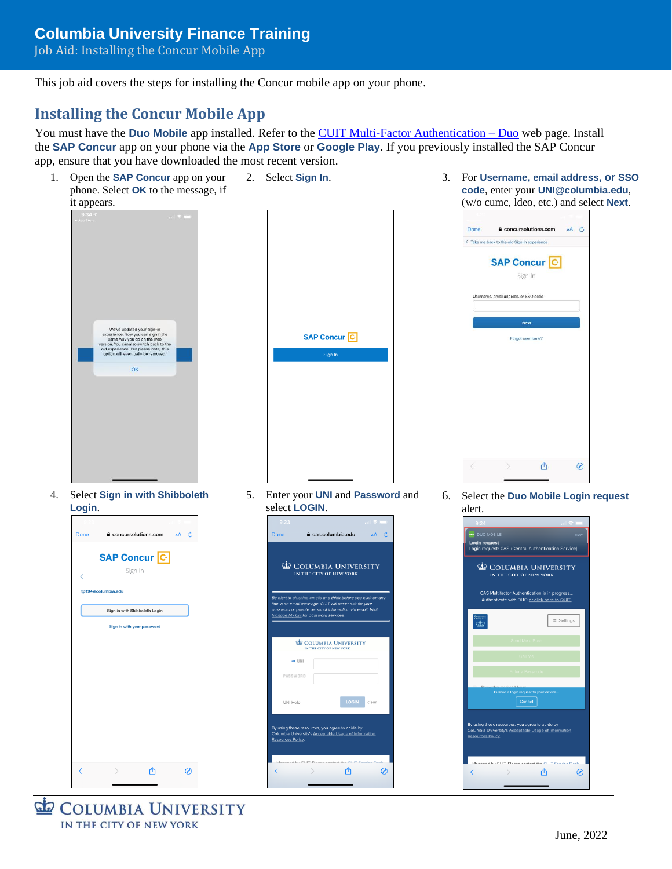## **Columbia University Finance Training**

Job Aid: Installing the Concur Mobile App

This job aid covers the steps for installing the Concur mobile app on your phone.

## **Installing the Concur Mobile App**

You must have the **Duo Mobile** app installed. Refer to the [CUIT Multi-Factor Authentication –](https://cuit.columbia.edu/mfa) Duo web page. Install the **SAP Concur** app on your phone via the **App Store** or **Google Play**. If you previously installed the SAP Concur app, ensure that you have downloaded the most recent version.



**COLUMBIA UNIVERSITY** IN THE CITY OF NEW YORK